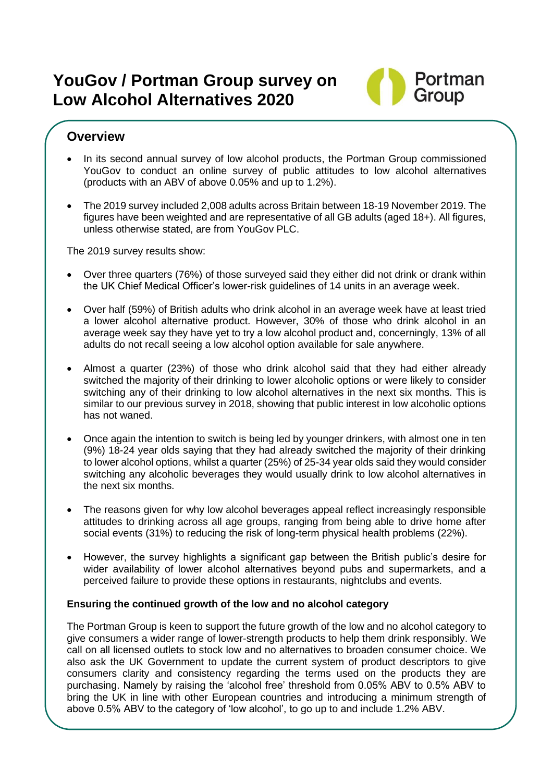# **YouGov / Portman Group survey on Low Alcohol Alternatives 2020**



### **Overview**

- In its second annual survey of low alcohol products, the Portman Group commissioned YouGov to conduct an online survey of public attitudes to low alcohol alternatives (products with an ABV of above 0.05% and up to 1.2%).
- The 2019 survey included 2,008 adults across Britain between 18-19 November 2019. The figures have been weighted and are representative of all GB adults (aged 18+). All figures, unless otherwise stated, are from YouGov PLC.

The 2019 survey results show:

- Over three quarters (76%) of those surveyed said they either did not drink or drank within the UK Chief Medical Officer's lower-risk guidelines of 14 units in an average week.
- Over half (59%) of British adults who drink alcohol in an average week have at least tried a lower alcohol alternative product. However, 30% of those who drink alcohol in an average week say they have yet to try a low alcohol product and, concerningly, 13% of all adults do not recall seeing a low alcohol option available for sale anywhere.
- Almost a quarter (23%) of those who drink alcohol said that they had either already switched the majority of their drinking to lower alcoholic options or were likely to consider switching any of their drinking to low alcohol alternatives in the next six months. This is similar to our previous survey in 2018, showing that public interest in low alcoholic options has not waned.
- Once again the intention to switch is being led by younger drinkers, with almost one in ten (9%) 18-24 year olds saying that they had already switched the majority of their drinking to lower alcohol options, whilst a quarter (25%) of 25-34 year olds said they would consider switching any alcoholic beverages they would usually drink to low alcohol alternatives in the next six months.
- The reasons given for why low alcohol beverages appeal reflect increasingly responsible attitudes to drinking across all age groups, ranging from being able to drive home after social events (31%) to reducing the risk of long-term physical health problems (22%).
- However, the survey highlights a significant gap between the British public's desire for wider availability of lower alcohol alternatives beyond pubs and supermarkets, and a perceived failure to provide these options in restaurants, nightclubs and events.

#### **Ensuring the continued growth of the low and no alcohol category**

The Portman Group is keen to support the future growth of the low and no alcohol category to give consumers a wider range of lower-strength products to help them drink responsibly. We call on all licensed outlets to stock low and no alternatives to broaden consumer choice. We also ask the UK Government to update the current system of product descriptors to give consumers clarity and consistency regarding the terms used on the products they are purchasing. Namely by raising the 'alcohol free' threshold from 0.05% ABV to 0.5% ABV to bring the UK in line with other European countries and introducing a minimum strength of above 0.5% ABV to the category of 'low alcohol', to go up to and include 1.2% ABV.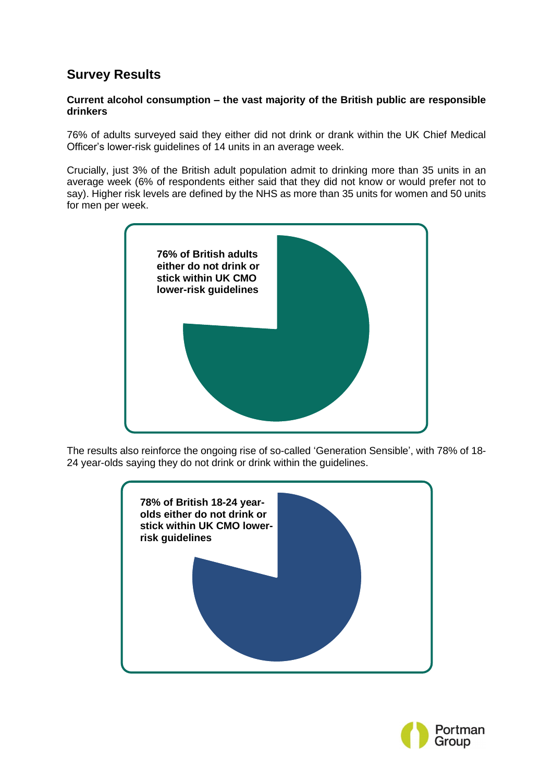## **Survey Results**

#### **Current alcohol consumption – the vast majority of the British public are responsible drinkers**

76% of adults surveyed said they either did not drink or drank within the UK Chief Medical Officer's lower-risk guidelines of 14 units in an average week.

Crucially, just 3% of the British adult population admit to drinking more than 35 units in an average week (6% of respondents either said that they did not know or would prefer not to say). Higher risk levels are defined by the NHS as more than 35 units for women and 50 units for men per week.



The results also reinforce the ongoing rise of so-called 'Generation Sensible', with 78% of 18- 24 year-olds saying they do not drink or drink within the guidelines.



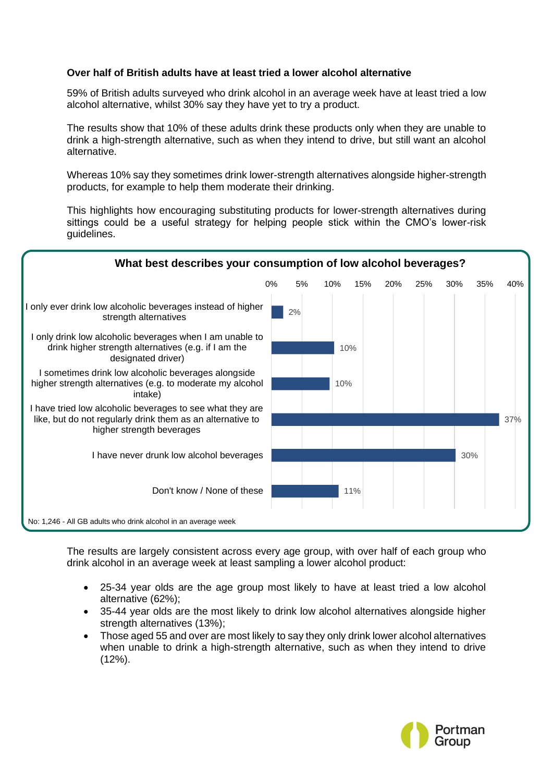#### **Over half of British adults have at least tried a lower alcohol alternative**

59% of British adults surveyed who drink alcohol in an average week have at least tried a low alcohol alternative, whilst 30% say they have yet to try a product.

The results show that 10% of these adults drink these products only when they are unable to drink a high-strength alternative, such as when they intend to drive, but still want an alcohol alternative.

Whereas 10% say they sometimes drink lower-strength alternatives alongside higher-strength products, for example to help them moderate their drinking.

This highlights how encouraging substituting products for lower-strength alternatives during sittings could be a useful strategy for helping people stick within the CMO's lower-risk guidelines.



The results are largely consistent across every age group, with over half of each group who drink alcohol in an average week at least sampling a lower alcohol product:

- 25-34 year olds are the age group most likely to have at least tried a low alcohol alternative (62%);
- 35-44 year olds are the most likely to drink low alcohol alternatives alongside higher strength alternatives (13%);
- Those aged 55 and over are most likely to say they only drink lower alcohol alternatives when unable to drink a high-strength alternative, such as when they intend to drive (12%).

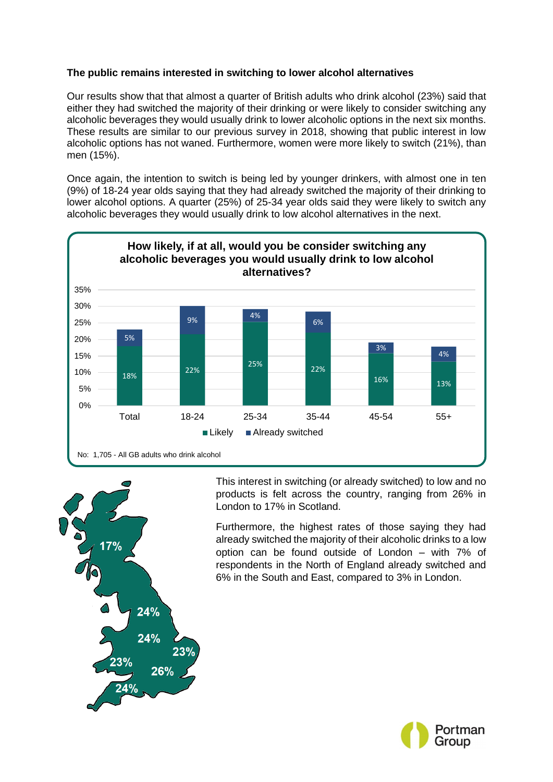#### **The public remains interested in switching to lower alcohol alternatives**

Our results show that that almost a quarter of British adults who drink alcohol (23%) said that either they had switched the majority of their drinking or were likely to consider switching any alcoholic beverages they would usually drink to lower alcoholic options in the next six months. These results are similar to our previous survey in 2018, showing that public interest in low alcoholic options has not waned. Furthermore, women were more likely to switch (21%), than men (15%).

Once again, the intention to switch is being led by younger drinkers, with almost one in ten (9%) of 18-24 year olds saying that they had already switched the majority of their drinking to lower alcohol options. A quarter (25%) of 25-34 year olds said they were likely to switch any alcoholic beverages they would usually drink to low alcohol alternatives in the next.





This interest in switching (or already switched) to low and no products is felt across the country, ranging from 26% in London to 17% in Scotland.

Furthermore, the highest rates of those saying they had already switched the majority of their alcoholic drinks to a low option can be found outside of London – with 7% of respondents in the North of England already switched and 6% in the South and East, compared to 3% in London.

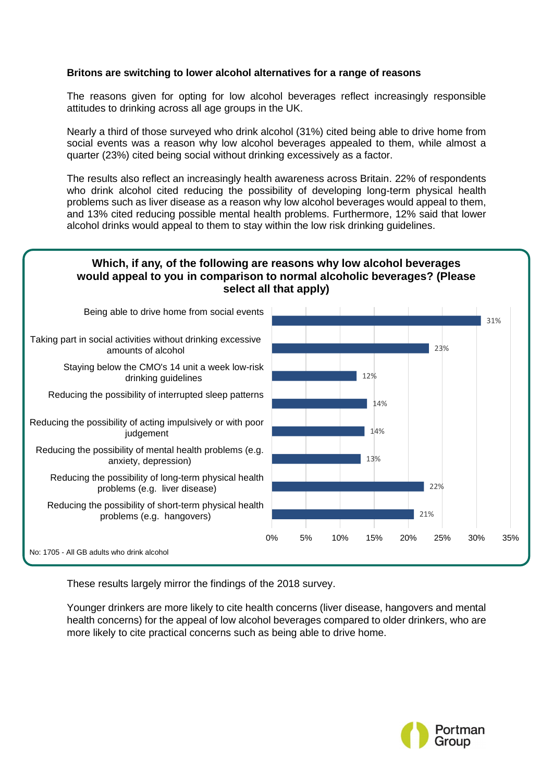#### **Britons are switching to lower alcohol alternatives for a range of reasons**

The reasons given for opting for low alcohol beverages reflect increasingly responsible attitudes to drinking across all age groups in the UK.

Nearly a third of those surveyed who drink alcohol (31%) cited being able to drive home from social events was a reason why low alcohol beverages appealed to them, while almost a quarter (23%) cited being social without drinking excessively as a factor.

The results also reflect an increasingly health awareness across Britain. 22% of respondents who drink alcohol cited reducing the possibility of developing long-term physical health problems such as liver disease as a reason why low alcohol beverages would appeal to them, and 13% cited reducing possible mental health problems. Furthermore, 12% said that lower alcohol drinks would appeal to them to stay within the low risk drinking guidelines.

### **Which, if any, of the following are reasons why low alcohol beverages would appeal to you in comparison to normal alcoholic beverages? (Please select all that apply)**



These results largely mirror the findings of the 2018 survey.

Younger drinkers are more likely to cite health concerns (liver disease, hangovers and mental health concerns) for the appeal of low alcohol beverages compared to older drinkers, who are more likely to cite practical concerns such as being able to drive home.

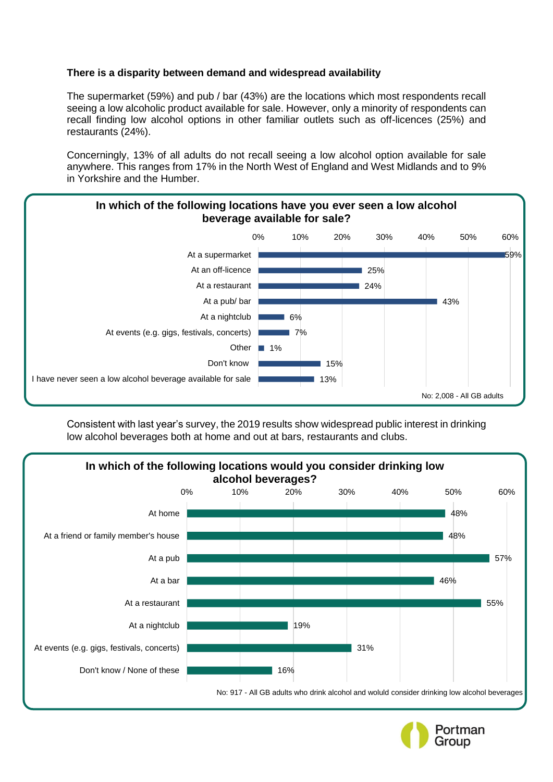#### **There is a disparity between demand and widespread availability**

The supermarket (59%) and pub / bar (43%) are the locations which most respondents recall seeing a low alcoholic product available for sale. However, only a minority of respondents can recall finding low alcohol options in other familiar outlets such as off-licences (25%) and restaurants (24%).

Concerningly, 13% of all adults do not recall seeing a low alcohol option available for sale anywhere. This ranges from 17% in the North West of England and West Midlands and to 9% in Yorkshire and the Humber.



Consistent with last year's survey, the 2019 results show widespread public interest in drinking low alcohol beverages both at home and out at bars, restaurants and clubs.



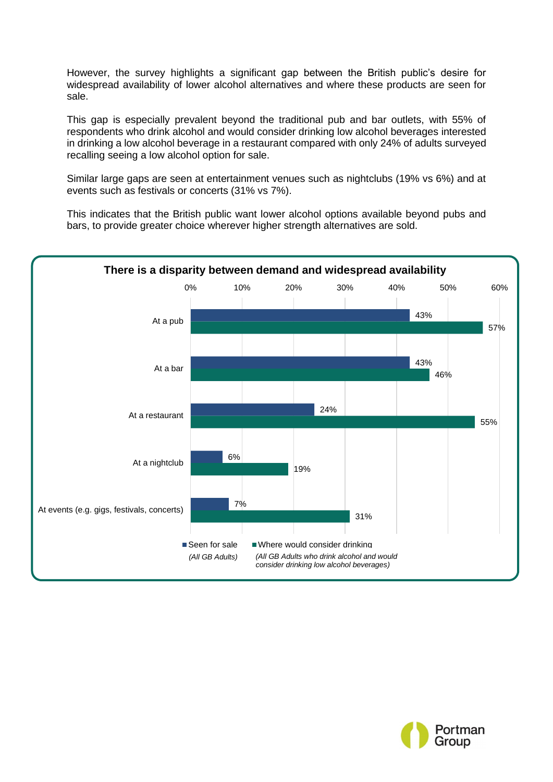However, the survey highlights a significant gap between the British public's desire for widespread availability of lower alcohol alternatives and where these products are seen for sale.

This gap is especially prevalent beyond the traditional pub and bar outlets, with 55% of respondents who drink alcohol and would consider drinking low alcohol beverages interested in drinking a low alcohol beverage in a restaurant compared with only 24% of adults surveyed recalling seeing a low alcohol option for sale.

Similar large gaps are seen at entertainment venues such as nightclubs (19% vs 6%) and at events such as festivals or concerts (31% vs 7%).

This indicates that the British public want lower alcohol options available beyond pubs and bars, to provide greater choice wherever higher strength alternatives are sold.



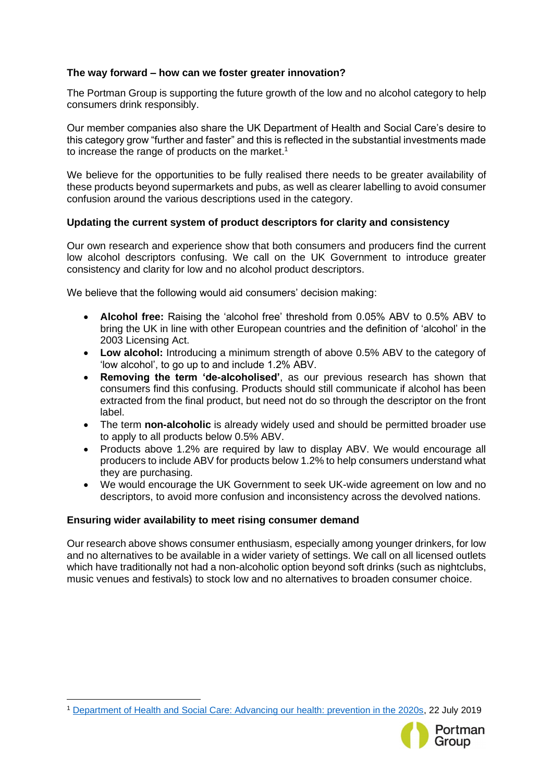#### **The way forward – how can we foster greater innovation?**

The Portman Group is supporting the future growth of the low and no alcohol category to help consumers drink responsibly.

Our member companies also share the UK Department of Health and Social Care's desire to this category grow "further and faster" and this is reflected in the substantial investments made to increase the range of products on the market.<sup>1</sup>

We believe for the opportunities to be fully realised there needs to be greater availability of these products beyond supermarkets and pubs, as well as clearer labelling to avoid consumer confusion around the various descriptions used in the category.

#### **Updating the current system of product descriptors for clarity and consistency**

Our own research and experience show that both consumers and producers find the current low alcohol descriptors confusing. We call on the UK Government to introduce greater consistency and clarity for low and no alcohol product descriptors.

We believe that the following would aid consumers' decision making:

- **Alcohol free:** Raising the 'alcohol free' threshold from 0.05% ABV to 0.5% ABV to bring the UK in line with other European countries and the definition of 'alcohol' in the 2003 Licensing Act.
- **Low alcohol:** Introducing a minimum strength of above 0.5% ABV to the category of 'low alcohol', to go up to and include 1.2% ABV.
- **Removing the term 'de-alcoholised'**, as our previous research has shown that consumers find this confusing. Products should still communicate if alcohol has been extracted from the final product, but need not do so through the descriptor on the front label.
- The term **non-alcoholic** is already widely used and should be permitted broader use to apply to all products below 0.5% ABV.
- Products above 1.2% are required by law to display ABV. We would encourage all producers to include ABV for products below 1.2% to help consumers understand what they are purchasing.
- We would encourage the UK Government to seek UK-wide agreement on low and no descriptors, to avoid more confusion and inconsistency across the devolved nations.

#### **Ensuring wider availability to meet rising consumer demand**

Our research above shows consumer enthusiasm, especially among younger drinkers, for low and no alternatives to be available in a wider variety of settings. We call on all licensed outlets which have traditionally not had a non-alcoholic option beyond soft drinks (such as nightclubs, music venues and festivals) to stock low and no alternatives to broaden consumer choice.

<sup>1</sup> [Department of Health and Social Care: Advancing our health: prevention in the 2020s,](https://www.gov.uk/government/consultations/advancing-our-health-prevention-in-the-2020s/advancing-our-health-prevention-in-the-2020s-consultation-document) 22 July 2019